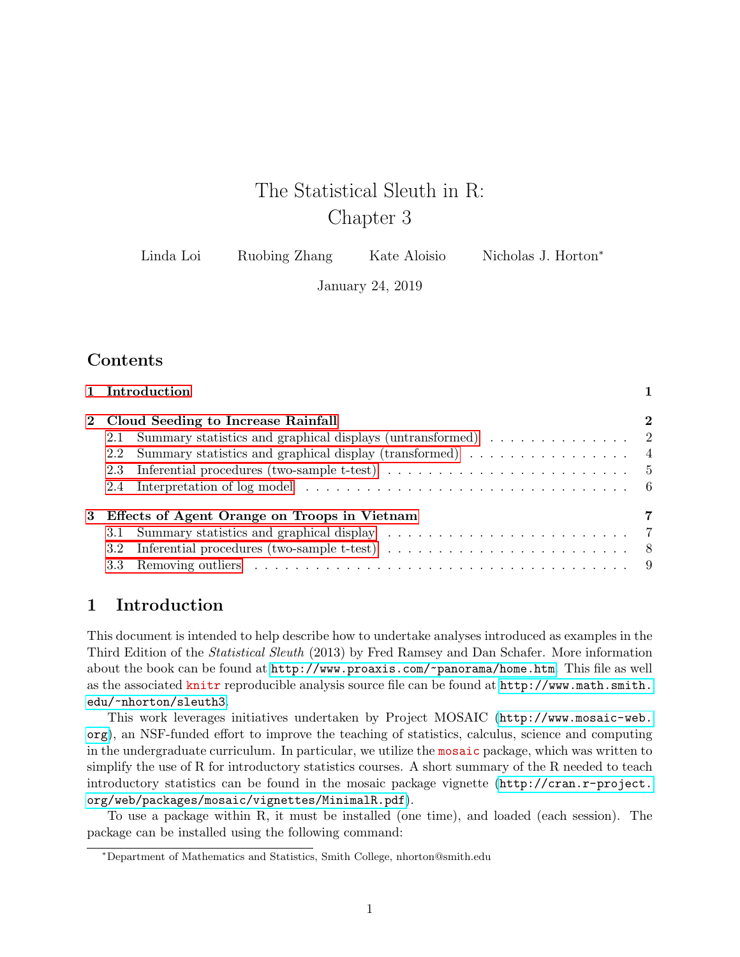# The Statistical Sleuth in R: Chapter 3

| Linda Loi | Ruobing Zhang | Kate Aloisio | Nicholas J. Horton <sup>*</sup> |
|-----------|---------------|--------------|---------------------------------|
|-----------|---------------|--------------|---------------------------------|

January 24, 2019

# **Contents**

| 1 Introduction                                                                                                                                                                                                                 |  |  |  |
|--------------------------------------------------------------------------------------------------------------------------------------------------------------------------------------------------------------------------------|--|--|--|
| 2 Cloud Seeding to Increase Rainfall                                                                                                                                                                                           |  |  |  |
| 2.1                                                                                                                                                                                                                            |  |  |  |
| Summary statistics and graphical display (transformed) $\dots \dots \dots \dots \dots$<br>$2.2\phantom{0}$                                                                                                                     |  |  |  |
| Inferential procedures (two-sample t-test) $\dots \dots \dots \dots \dots \dots \dots \dots \dots \dots$<br>2.3                                                                                                                |  |  |  |
|                                                                                                                                                                                                                                |  |  |  |
| 3 Effects of Agent Orange on Troops in Vietnam                                                                                                                                                                                 |  |  |  |
| 3.1                                                                                                                                                                                                                            |  |  |  |
| Inferential procedures (two-sample t-test) $\ldots \ldots \ldots \ldots \ldots \ldots \ldots$<br>3.2                                                                                                                           |  |  |  |
| 3.3 Removing outliers contained and the contact of the contact of the contact of the contact of the contact of the contact of the contact of the contact of the contact of the contact of the contact of the contact of the co |  |  |  |

# <span id="page-0-0"></span>1 Introduction

This document is intended to help describe how to undertake analyses introduced as examples in the Third Edition of the Statistical Sleuth (2013) by Fred Ramsey and Dan Schafer. More information about the book can be found at <http://www.proaxis.com/~panorama/home.htm>. This file as well as the associated knitr reproducible analysis source file can be found at [http://www.math.smith.](http://www.math.smith.edu/~nhorton/sleuth3) [edu/~nhorton/sleuth3](http://www.math.smith.edu/~nhorton/sleuth3).

This work leverages initiatives undertaken by Project MOSAIC ([http://www.mosaic-web.](http://www.mosaic-web.org) [org](http://www.mosaic-web.org)), an NSF-funded effort to improve the teaching of statistics, calculus, science and computing in the undergraduate curriculum. In particular, we utilize the mosaic package, which was written to simplify the use of R for introductory statistics courses. A short summary of the R needed to teach introductory statistics can be found in the mosaic package vignette ([http://cran.r-project.](http://cran.r-project.org/web/packages/mosaic/vignettes/MinimalR.pdf) [org/web/packages/mosaic/vignettes/MinimalR.pdf](http://cran.r-project.org/web/packages/mosaic/vignettes/MinimalR.pdf)).

To use a package within R, it must be installed (one time), and loaded (each session). The package can be installed using the following command:

<sup>∗</sup>Department of Mathematics and Statistics, Smith College, nhorton@smith.edu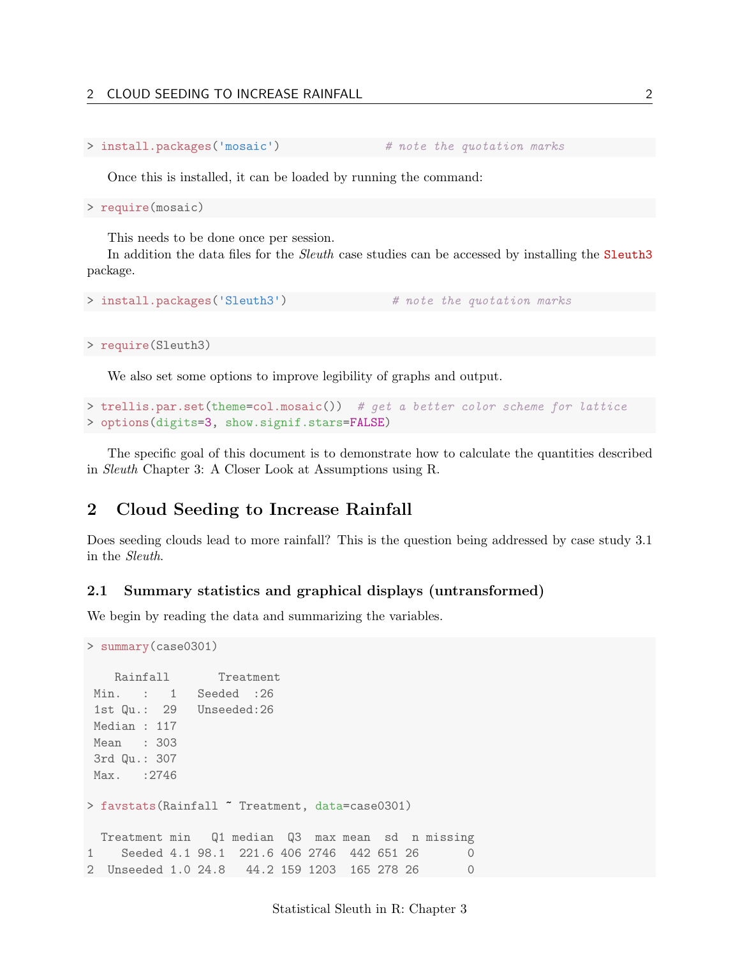#### 2 CLOUD SEEDING TO INCREASE RAINFALL 2

```
> install.packages('mosaic') # note the quotation marks
```
Once this is installed, it can be loaded by running the command:

> require(mosaic)

This needs to be done once per session.

In addition the data files for the *Sleuth* case studies can be accessed by installing the **Sleuth3** package.

```
> install.packages('Sleuth3') # note the quotation marks
```

```
> require(Sleuth3)
```
We also set some options to improve legibility of graphs and output.

```
> trellis.par.set(theme=col.mosaic()) # get a better color scheme for lattice
> options(digits=3, show.signif.stars=FALSE)
```
The specific goal of this document is to demonstrate how to calculate the quantities described in Sleuth Chapter 3: A Closer Look at Assumptions using R.

# <span id="page-1-0"></span>2 Cloud Seeding to Increase Rainfall

Does seeding clouds lead to more rainfall? This is the question being addressed by case study 3.1 in the Sleuth.

#### <span id="page-1-1"></span>2.1 Summary statistics and graphical displays (untransformed)

We begin by reading the data and summarizing the variables.

```
> summary(case0301)
   Rainfall Treatment
Min. : 1 Seeded :26
1st Qu.: 29 Unseeded:26
Median : 117
Mean : 303
3rd Qu.: 307
Max. : 2746
> favstats(Rainfall ~ Treatment, data=case0301)
 Treatment min Q1 median Q3 max mean sd n missing
1 Seeded 4.1 98.1 221.6 406 2746 442 651 26 0
2 Unseeded 1.0 24.8 44.2 159 1203 165 278 26
```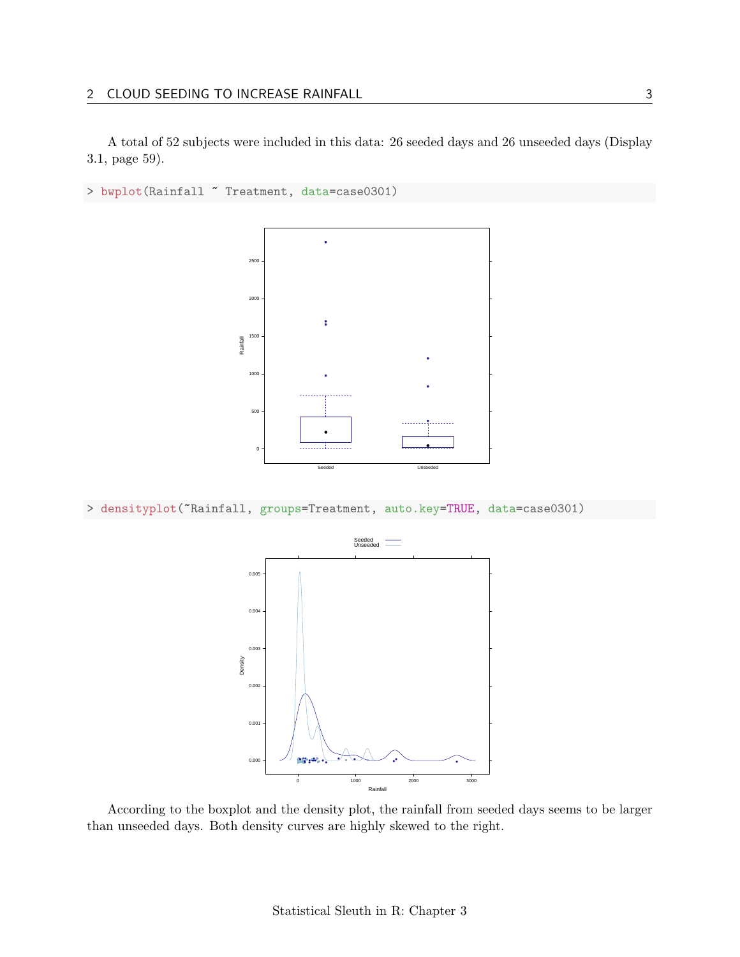# 2 CLOUD SEEDING TO INCREASE RAINFALL 3

A total of 52 subjects were included in this data: 26 seeded days and 26 unseeded days (Display 3.1, page 59).

```
> bwplot(Rainfall ~ Treatment, data=case0301)
```


> densityplot(~Rainfall, groups=Treatment, auto.key=TRUE, data=case0301)



According to the boxplot and the density plot, the rainfall from seeded days seems to be larger than unseeded days. Both density curves are highly skewed to the right.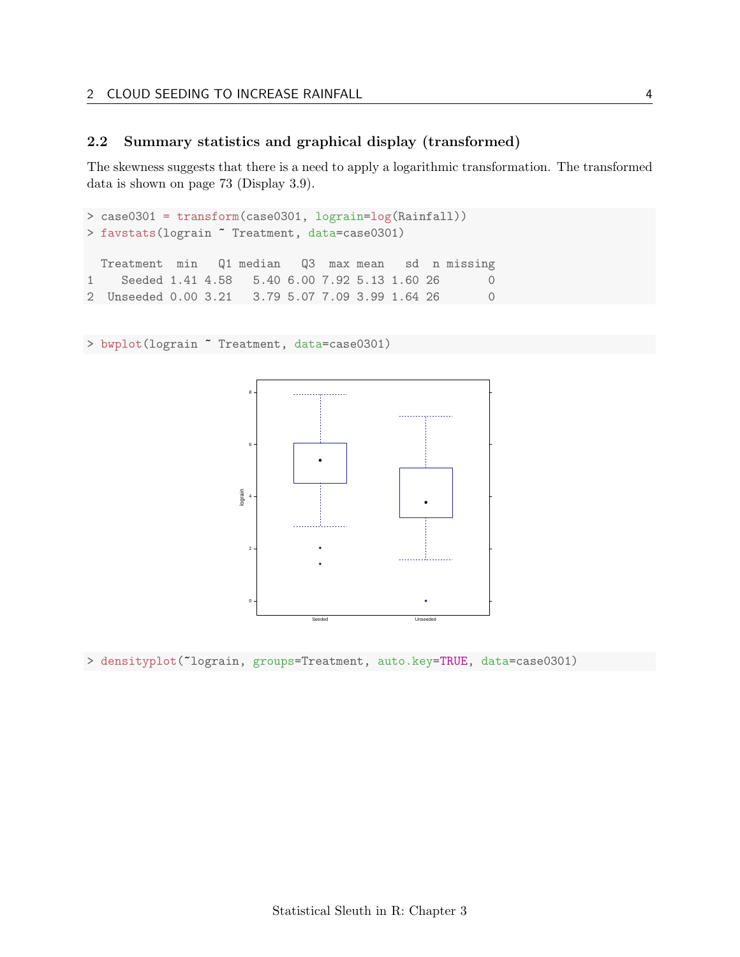## <span id="page-3-0"></span>2.2 Summary statistics and graphical display (transformed)

The skewness suggests that there is a need to apply a logarithmic transformation. The transformed data is shown on page 73 (Display 3.9).

```
> case0301 = transform(case0301, lograin=log(Rainfall))
> favstats(lograin ~ Treatment, data=case0301)
 Treatment min Q1 median Q3 max mean sd n missing
1 Seeded 1.41 4.58    5.40    6.00    7.92    5.13    1.60    26    0
2 Unseeded 0.00 3.21 3.79 5.07 7.09 3.99 1.64 26 0
```
> bwplot(lograin ~ Treatment, data=case0301)



> densityplot(~lograin, groups=Treatment, auto.key=TRUE, data=case0301)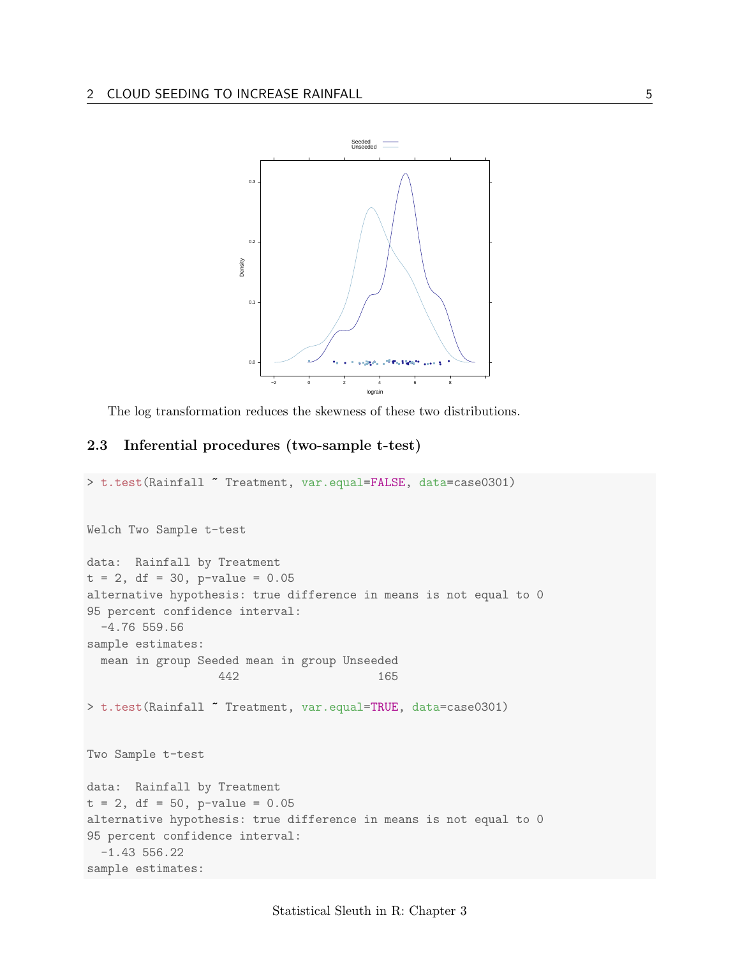

The log transformation reduces the skewness of these two distributions.

## <span id="page-4-0"></span>2.3 Inferential procedures (two-sample t-test)

```
> t.test(Rainfall ~ Treatment, var.equal=FALSE, data=case0301)
Welch Two Sample t-test
data: Rainfall by Treatment
t = 2, df = 30, p-value = 0.05
alternative hypothesis: true difference in means is not equal to 0
95 percent confidence interval:
  -4.76 559.56
sample estimates:
 mean in group Seeded mean in group Unseeded
                   442 165
> t.test(Rainfall ~ Treatment, var.equal=TRUE, data=case0301)
Two Sample t-test
data: Rainfall by Treatment
t = 2, df = 50, p-value = 0.05
alternative hypothesis: true difference in means is not equal to 0
95 percent confidence interval:
  -1.43 556.22
sample estimates:
```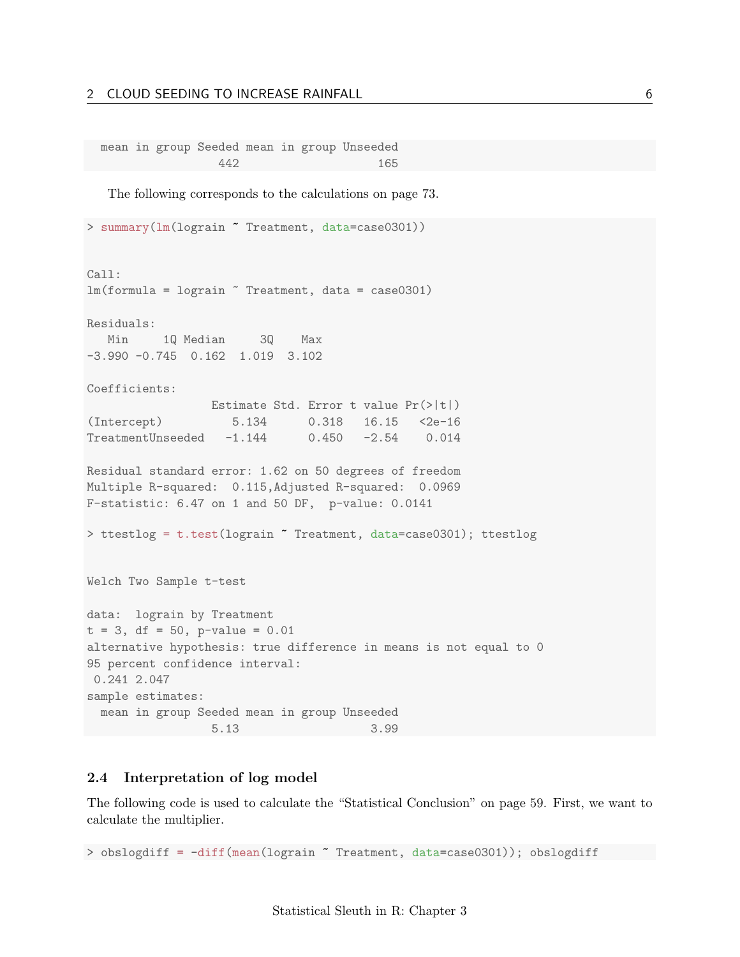#### 2 CLOUD SEEDING TO INCREASE RAINFALL 6

mean in group Seeded mean in group Unseeded 442 165

The following corresponds to the calculations on page 73.

```
> summary(lm(lograin ~ Treatment, data=case0301))
Call:
lm(formula = logram \text{ Treatment}, data = case0301)Residuals:
  Min 1Q Median 3Q Max
-3.990 -0.745 0.162 1.019 3.102
Coefficients:
                Estimate Std. Error t value Pr(>|t|)
(Intercept) 5.134 0.318 16.15 <2e-16
TreatmentUnseeded -1.144 0.450 -2.54 0.014
Residual standard error: 1.62 on 50 degrees of freedom
Multiple R-squared: 0.115,Adjusted R-squared: 0.0969
F-statistic: 6.47 on 1 and 50 DF, p-value: 0.0141
> ttestlog = t.test(lograin ~ Treatment, data=case0301); ttestlog
Welch Two Sample t-test
data: lograin by Treatment
t = 3, df = 50, p-value = 0.01
alternative hypothesis: true difference in means is not equal to 0
95 percent confidence interval:
0.241 2.047
sample estimates:
 mean in group Seeded mean in group Unseeded
                5.13 3.99
```
#### <span id="page-5-0"></span>2.4 Interpretation of log model

The following code is used to calculate the "Statistical Conclusion" on page 59. First, we want to calculate the multiplier.

> obslogdiff = -diff(mean(lograin ~ Treatment, data=case0301)); obslogdiff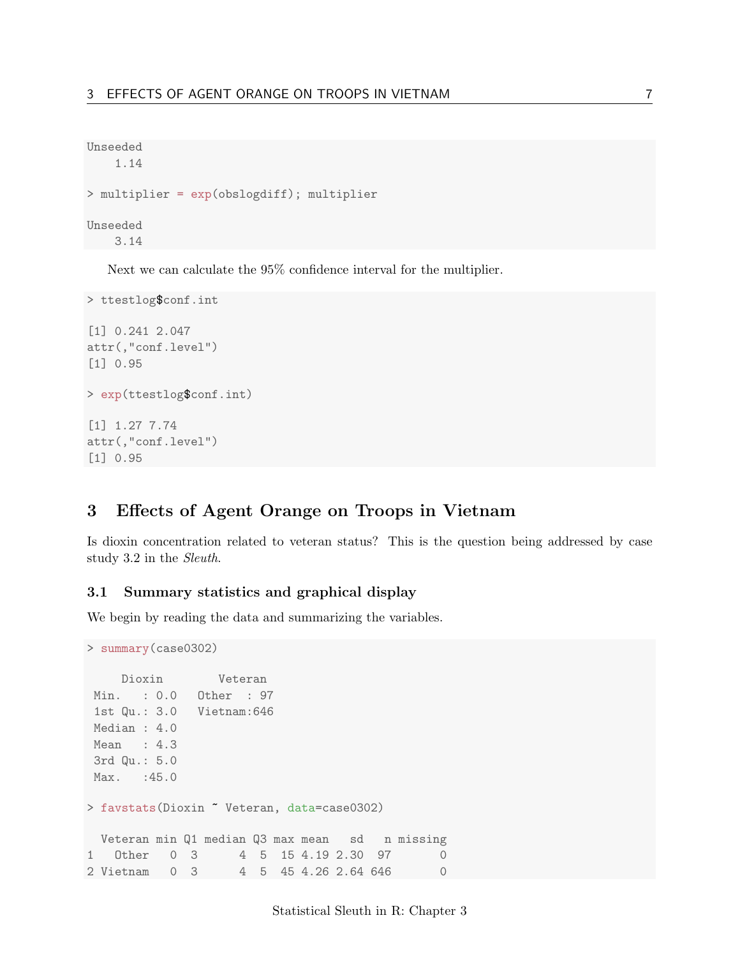```
Unseeded
   1.14
> multiplier = exp(obslogdiff); multiplier
Unseeded
 3.14
```
Next we can calculate the 95% confidence interval for the multiplier.

```
> ttestlog$conf.int
[1] 0.241 2.047
attr(,"conf.level")
[1] 0.95
> exp(ttestlog$conf.int)
[1] 1.27 7.74
attr(,"conf.level")
[1] 0.95
```
# <span id="page-6-0"></span>3 Effects of Agent Orange on Troops in Vietnam

Is dioxin concentration related to veteran status? This is the question being addressed by case study 3.2 in the Sleuth.

### <span id="page-6-1"></span>3.1 Summary statistics and graphical display

We begin by reading the data and summarizing the variables.

```
> summary(case0302)
    Dioxin Veteran
Min. : 0.0 Other : 97
1st Qu.: 3.0 Vietnam:646
Median : 4.0
Mean : 4.3
3rd Qu.: 5.0
Max. : 45.0
> favstats(Dioxin ~ Veteran, data=case0302)
 Veteran min Q1 median Q3 max mean sd n missing
1 Other 0 3 4 5 15 4.19 2.30 97 0
2 Vietnam 0 3 4 5 45 4.26 2.64 646 0
```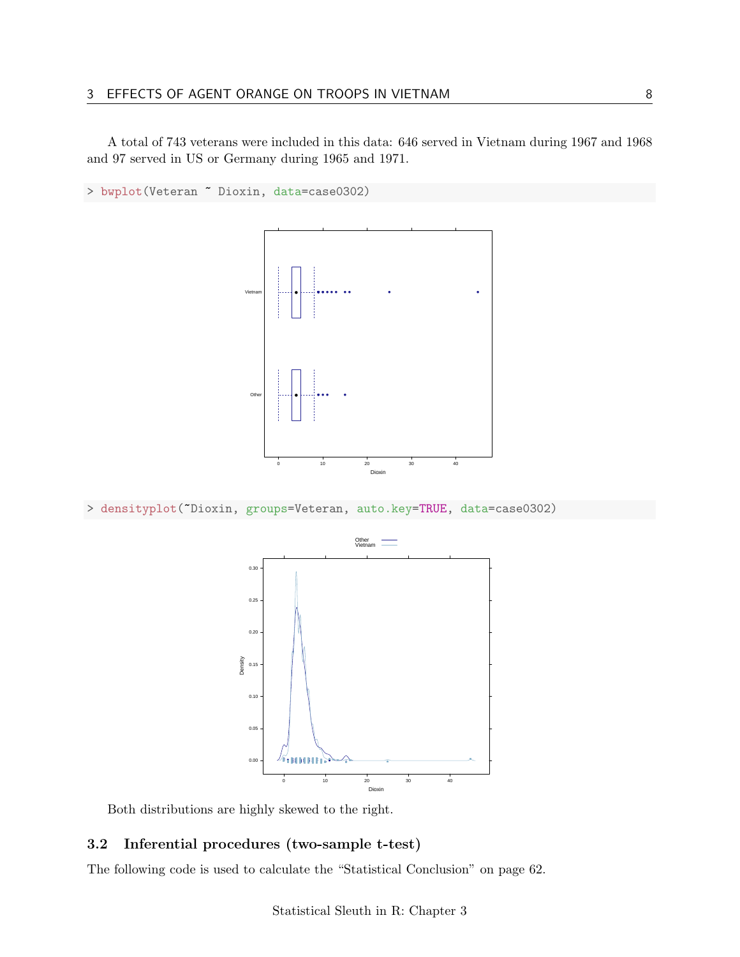A total of 743 veterans were included in this data: 646 served in Vietnam during 1967 and 1968 and 97 served in US or Germany during 1965 and 1971.





> densityplot(~Dioxin, groups=Veteran, auto.key=TRUE, data=case0302)



Both distributions are highly skewed to the right.

## <span id="page-7-0"></span>3.2 Inferential procedures (two-sample t-test)

The following code is used to calculate the "Statistical Conclusion" on page 62.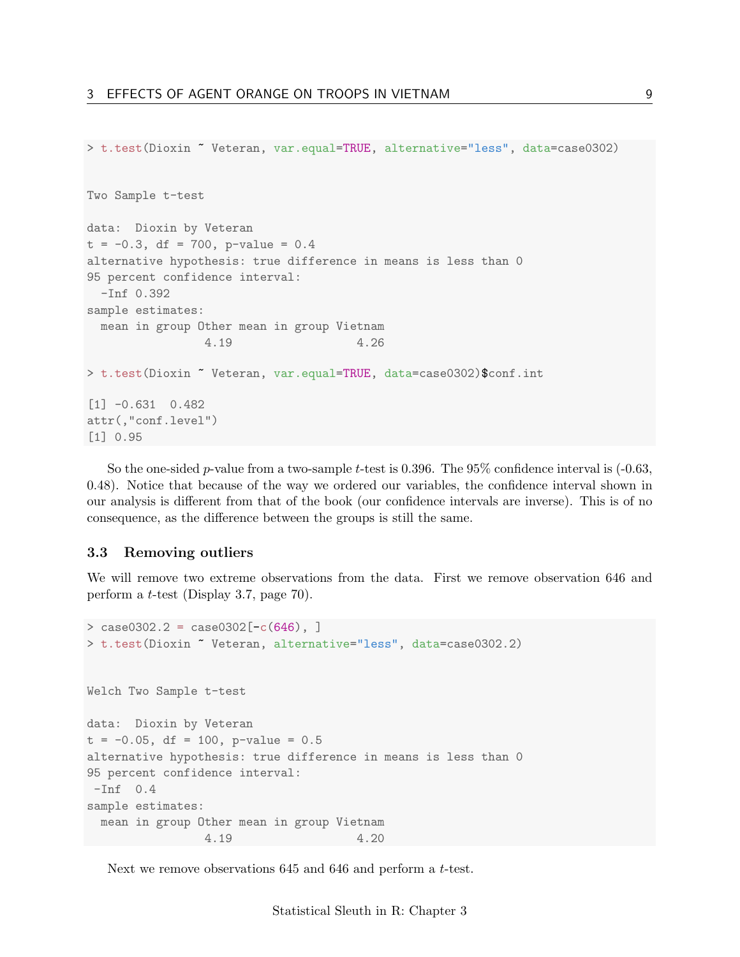```
> t.test(Dioxin ~ Veteran, var.equal=TRUE, alternative="less", data=case0302)
Two Sample t-test
data: Dioxin by Veteran
t = -0.3, df = 700, p-value = 0.4
alternative hypothesis: true difference in means is less than 0
95 percent confidence interval:
  -Inf 0.392
sample estimates:
 mean in group Other mean in group Vietnam
                4.19 4.26
> t.test(Dioxin ~ Veteran, var.equal=TRUE, data=case0302)$conf.int
[1] -0.631 0.482
attr(,"conf.level")
[1] 0.95
```
So the one-sided p-value from a two-sample t-test is 0.396. The  $95\%$  confidence interval is  $(-0.63,$ 0.48). Notice that because of the way we ordered our variables, the confidence interval shown in our analysis is different from that of the book (our confidence intervals are inverse). This is of no consequence, as the difference between the groups is still the same.

#### <span id="page-8-0"></span>3.3 Removing outliers

We will remove two extreme observations from the data. First we remove observation 646 and perform a t-test (Display 3.7, page 70).

```
> \cose0302.2 = \case0302[-c(646), ]> t.test(Dioxin ~ Veteran, alternative="less", data=case0302.2)
Welch Two Sample t-test
data: Dioxin by Veteran
t = -0.05, df = 100, p-value = 0.5
alternative hypothesis: true difference in means is less than 0
95 percent confidence interval:
-Inf 0.4
sample estimates:
 mean in group Other mean in group Vietnam
                4.19 4.20
```
Next we remove observations 645 and 646 and perform a t-test.